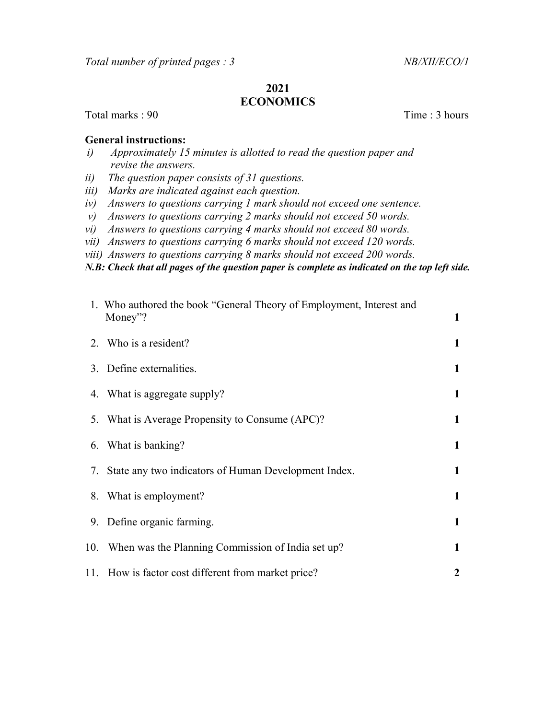## 2021 ECONOMICS

Total marks : 90 Time : 3 hours

## General instructions:

- i) Approximately 15 minutes is allotted to read the question paper and revise the answers.
- ii) The question paper consists of 31 questions.
- iii) Marks are indicated against each question.
- iv) Answers to questions carrying 1 mark should not exceed one sentence.
- v) Answers to questions carrying 2 marks should not exceed 50 words.
- vi) Answers to questions carrying 4 marks should not exceed 80 words.
- vii) Answers to questions carrying 6 marks should not exceed 120 words.
- viii) Answers to questions carrying 8 marks should not exceed 200 words.
- N.B: Check that all pages of the question paper is complete as indicated on the top left side.

|     | 1. Who authored the book "General Theory of Employment, Interest and |   |  |
|-----|----------------------------------------------------------------------|---|--|
|     | Money"?                                                              | 1 |  |
|     | 2. Who is a resident?                                                | 1 |  |
|     | 3. Define externalities.                                             | 1 |  |
|     | 4. What is aggregate supply?                                         | 1 |  |
|     | 5. What is Average Propensity to Consume (APC)?                      | 1 |  |
|     | 6. What is banking?                                                  | 1 |  |
|     | 7. State any two indicators of Human Development Index.              | 1 |  |
|     | 8. What is employment?                                               | 1 |  |
|     | 9. Define organic farming.                                           | 1 |  |
| 10. | When was the Planning Commission of India set up?                    | 1 |  |
|     | 11. How is factor cost different from market price?                  | 2 |  |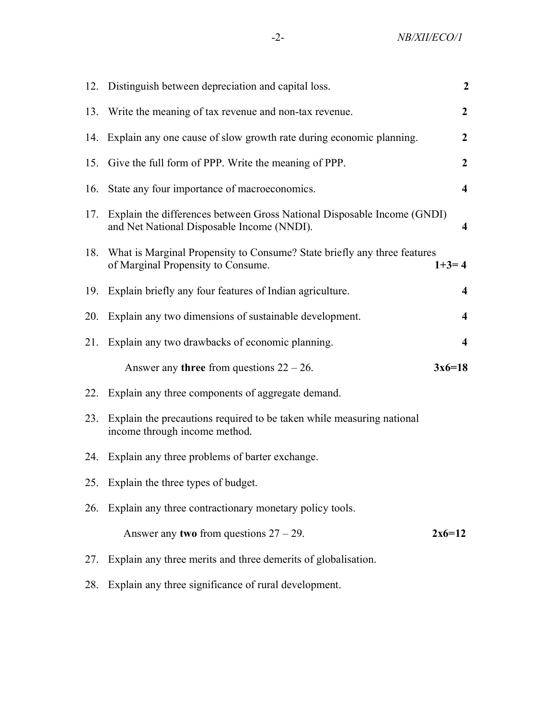|     | 12. Distinguish between depreciation and capital loss.                                                                | $\overline{2}$          |
|-----|-----------------------------------------------------------------------------------------------------------------------|-------------------------|
|     | 13. Write the meaning of tax revenue and non-tax revenue.                                                             | $\boldsymbol{2}$        |
|     | 14. Explain any one cause of slow growth rate during economic planning.                                               | $\boldsymbol{2}$        |
|     | 15. Give the full form of PPP. Write the meaning of PPP.                                                              | $\overline{2}$          |
| 16. | State any four importance of macroeconomics.                                                                          | $\overline{\mathbf{4}}$ |
| 17. | Explain the differences between Gross National Disposable Income (GNDI)<br>and Net National Disposable Income (NNDI). | 4                       |
|     | 18. What is Marginal Propensity to Consume? State briefly any three features<br>of Marginal Propensity to Consume.    | $1+3=4$                 |
| 19. | Explain briefly any four features of Indian agriculture.                                                              | 4                       |
| 20. | Explain any two dimensions of sustainable development.                                                                | $\boldsymbol{4}$        |
| 21. | Explain any two drawbacks of economic planning.                                                                       | $\overline{\mathbf{4}}$ |
|     | Answer any <b>three</b> from questions $22 - 26$ .                                                                    | $3x6=18$                |
| 22. | Explain any three components of aggregate demand.                                                                     |                         |
| 23. | Explain the precautions required to be taken while measuring national<br>income through income method.                |                         |
| 24. | Explain any three problems of barter exchange.                                                                        |                         |
|     | 25. Explain the three types of budget.                                                                                |                         |
| 26. | Explain any three contractionary monetary policy tools.                                                               |                         |
|     | Answer any two from questions $27 - 29$ .                                                                             | $2x6=12$                |
| 27. | Explain any three merits and three demerits of globalisation.                                                         |                         |
| 28. | Explain any three significance of rural development.                                                                  |                         |